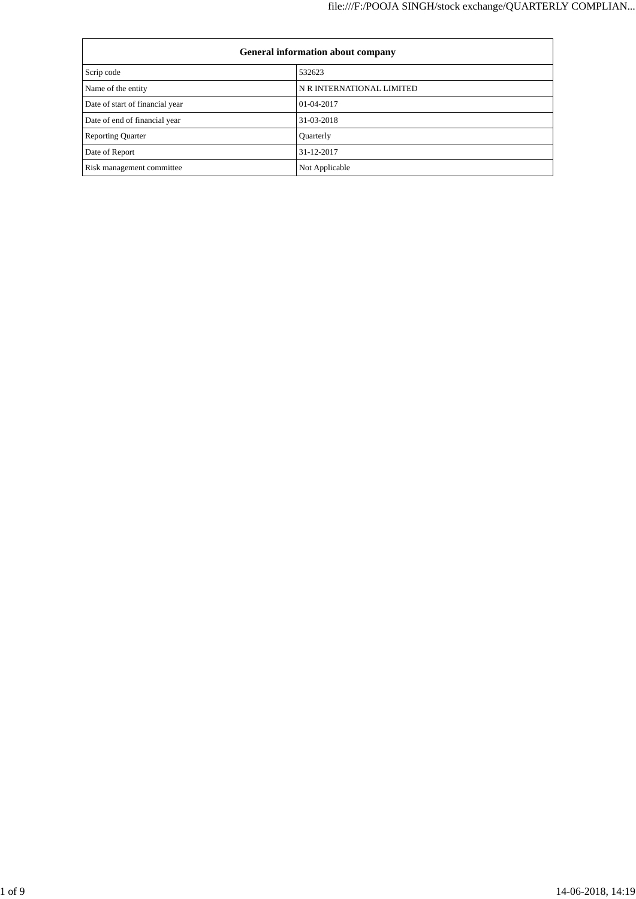| <b>General information about company</b> |                           |  |
|------------------------------------------|---------------------------|--|
| Scrip code                               | 532623                    |  |
| Name of the entity                       | N R INTERNATIONAL LIMITED |  |
| Date of start of financial year          | 01-04-2017                |  |
| Date of end of financial year            | 31-03-2018                |  |
| <b>Reporting Quarter</b>                 | Quarterly                 |  |
| Date of Report                           | 31-12-2017                |  |
| Risk management committee                | Not Applicable            |  |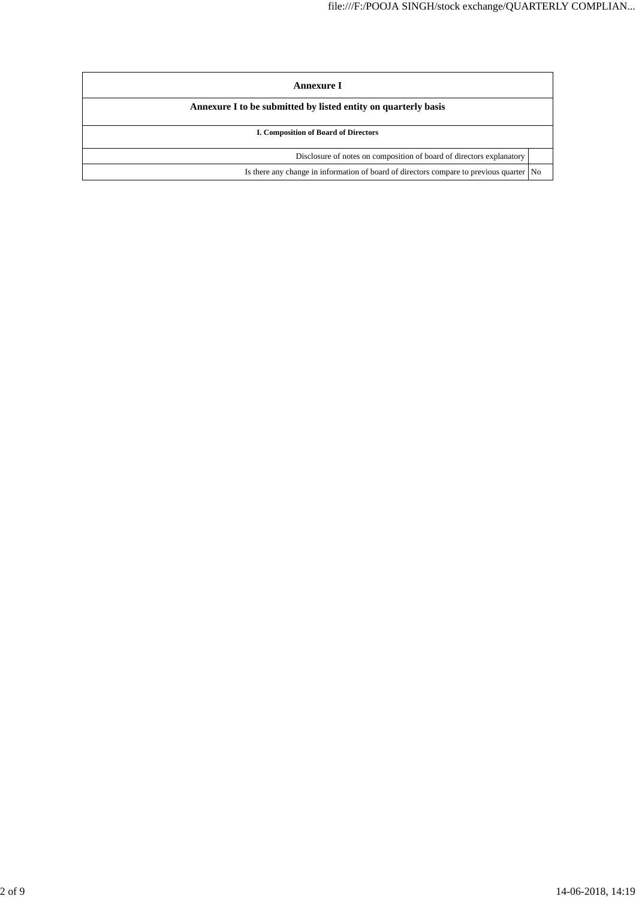| Annexure I                                                                                |  |  |
|-------------------------------------------------------------------------------------------|--|--|
| Annexure I to be submitted by listed entity on quarterly basis                            |  |  |
| <b>I. Composition of Board of Directors</b>                                               |  |  |
| Disclosure of notes on composition of board of directors explanatory                      |  |  |
| Is there any change in information of board of directors compare to previous quarter   No |  |  |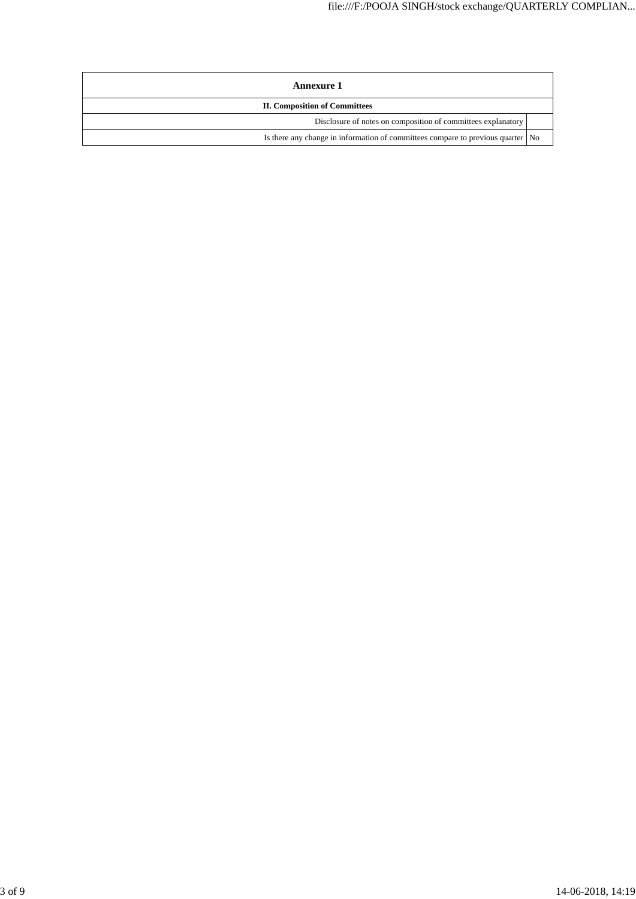| Annexure 1                                                                      |  |  |
|---------------------------------------------------------------------------------|--|--|
| <b>II. Composition of Committees</b>                                            |  |  |
| Disclosure of notes on composition of committees explanatory                    |  |  |
| Is there any change in information of committees compare to previous quarter No |  |  |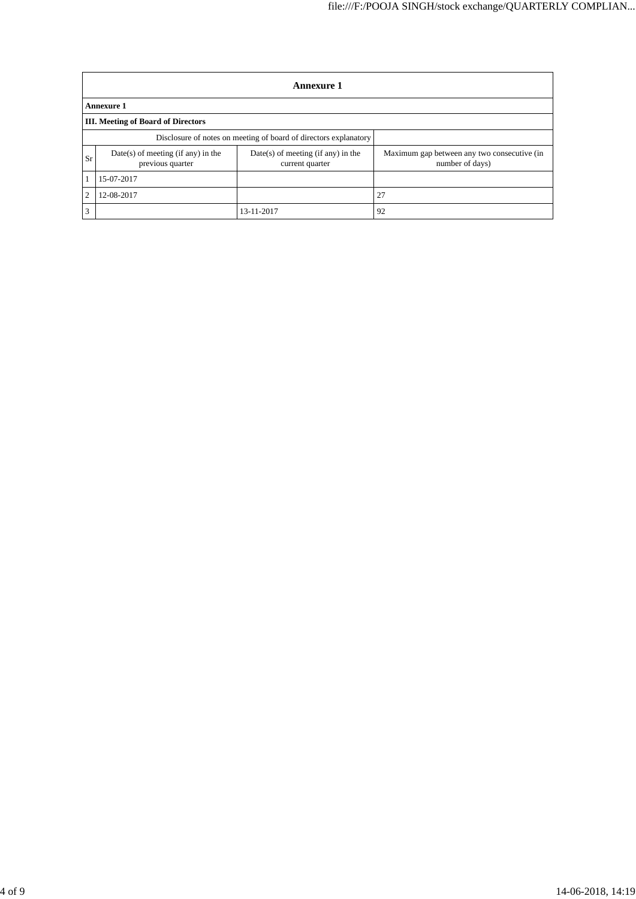|                                                                  | <b>Annexure 1</b>                                      |                                                         |                                                                |  |  |
|------------------------------------------------------------------|--------------------------------------------------------|---------------------------------------------------------|----------------------------------------------------------------|--|--|
|                                                                  | Annexure 1                                             |                                                         |                                                                |  |  |
| <b>III.</b> Meeting of Board of Directors                        |                                                        |                                                         |                                                                |  |  |
| Disclosure of notes on meeting of board of directors explanatory |                                                        |                                                         |                                                                |  |  |
| Sr                                                               | Date(s) of meeting (if any) in the<br>previous quarter | $Date(s)$ of meeting (if any) in the<br>current quarter | Maximum gap between any two consecutive (in<br>number of days) |  |  |
|                                                                  | 15-07-2017                                             |                                                         |                                                                |  |  |
| 2                                                                | 12-08-2017                                             |                                                         | 27                                                             |  |  |
| 3                                                                |                                                        | 13-11-2017                                              | 92                                                             |  |  |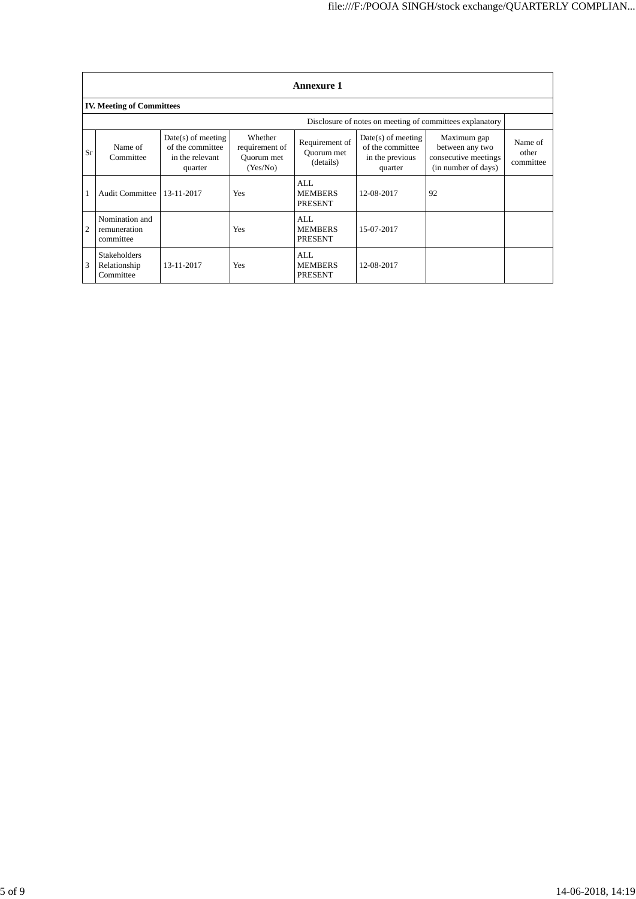|    | <b>Annexure 1</b>                                |                                                                        |                                                     |                                           |                                                                        |                                                                               |                               |
|----|--------------------------------------------------|------------------------------------------------------------------------|-----------------------------------------------------|-------------------------------------------|------------------------------------------------------------------------|-------------------------------------------------------------------------------|-------------------------------|
|    | <b>IV. Meeting of Committees</b>                 |                                                                        |                                                     |                                           |                                                                        |                                                                               |                               |
|    |                                                  |                                                                        |                                                     |                                           |                                                                        | Disclosure of notes on meeting of committees explanatory                      |                               |
| Sr | Name of<br>Committee                             | $Date(s)$ of meeting<br>of the committee<br>in the relevant<br>quarter | Whether<br>requirement of<br>Ouorum met<br>(Yes/No) | Requirement of<br>Ouorum met<br>(details) | $Date(s)$ of meeting<br>of the committee<br>in the previous<br>quarter | Maximum gap<br>between any two<br>consecutive meetings<br>(in number of days) | Name of<br>other<br>committee |
|    | <b>Audit Committee</b>                           | 13-11-2017                                                             | <b>Yes</b>                                          | AI.<br><b>MEMBERS</b><br><b>PRESENT</b>   | 12-08-2017                                                             | 92                                                                            |                               |
| 2  | Nomination and<br>remuneration<br>committee      |                                                                        | Yes                                                 | AI.<br><b>MEMBERS</b><br><b>PRESENT</b>   | 15-07-2017                                                             |                                                                               |                               |
| 3  | <b>Stakeholders</b><br>Relationship<br>Committee | 13-11-2017                                                             | Yes                                                 | AI.<br><b>MEMBERS</b><br><b>PRESENT</b>   | 12-08-2017                                                             |                                                                               |                               |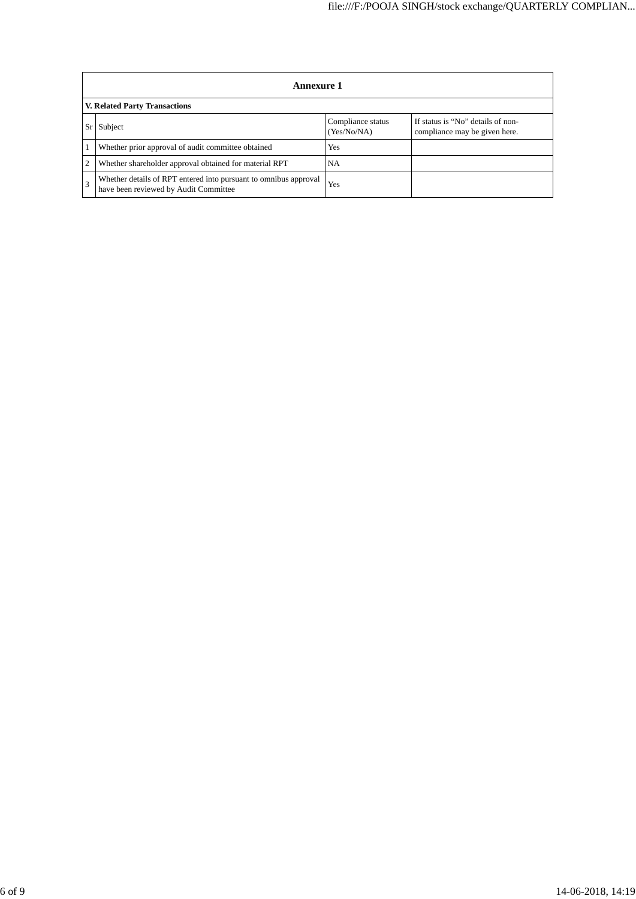|                               | <b>Annexure 1</b>                                                                                         |                                  |                                                                    |  |  |
|-------------------------------|-----------------------------------------------------------------------------------------------------------|----------------------------------|--------------------------------------------------------------------|--|--|
| V. Related Party Transactions |                                                                                                           |                                  |                                                                    |  |  |
|                               | Subject                                                                                                   | Compliance status<br>(Yes/No/NA) | If status is "No" details of non-<br>compliance may be given here. |  |  |
|                               | Whether prior approval of audit committee obtained                                                        | <b>Yes</b>                       |                                                                    |  |  |
|                               | Whether shareholder approval obtained for material RPT                                                    | NA                               |                                                                    |  |  |
|                               | Whether details of RPT entered into pursuant to omnibus approval<br>have been reviewed by Audit Committee | Yes                              |                                                                    |  |  |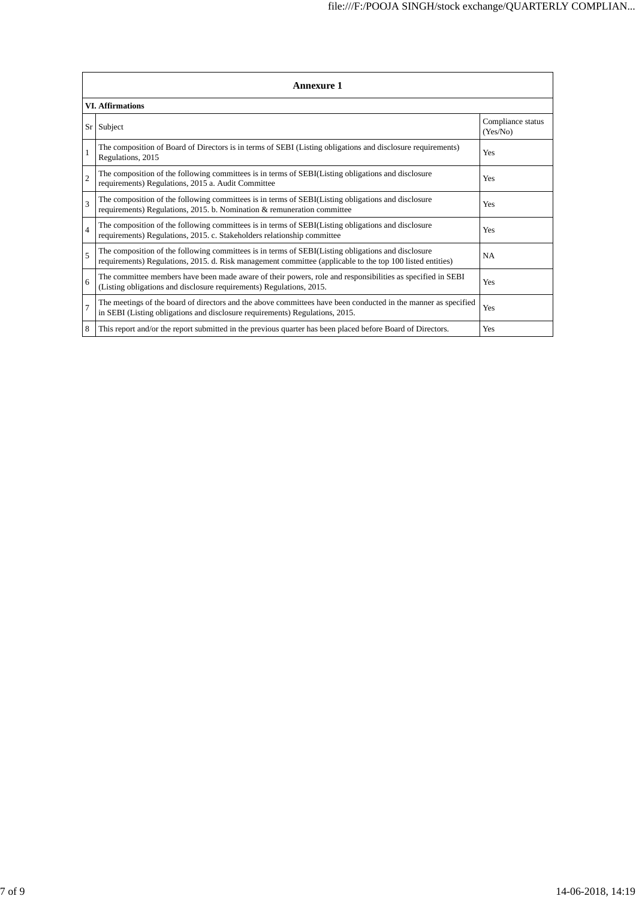| <b>Annexure 1</b>       |                                                                                                                                                                                                                 |                               |  |  |  |
|-------------------------|-----------------------------------------------------------------------------------------------------------------------------------------------------------------------------------------------------------------|-------------------------------|--|--|--|
| <b>VI.</b> Affirmations |                                                                                                                                                                                                                 |                               |  |  |  |
| Sr                      | Subject                                                                                                                                                                                                         | Compliance status<br>(Yes/No) |  |  |  |
|                         | The composition of Board of Directors is in terms of SEBI (Listing obligations and disclosure requirements)<br>Regulations, 2015                                                                                | Yes                           |  |  |  |
| $\overline{c}$          | The composition of the following committees is in terms of SEBI(Listing obligations and disclosure<br>requirements) Regulations, 2015 a. Audit Committee                                                        | Yes                           |  |  |  |
| 3                       | The composition of the following committees is in terms of SEBI(Listing obligations and disclosure<br>requirements) Regulations, 2015. b. Nomination & remuneration committee                                   | <b>Yes</b>                    |  |  |  |
| $\overline{4}$          | The composition of the following committees is in terms of SEBI(Listing obligations and disclosure<br>requirements) Regulations, 2015. c. Stakeholders relationship committee                                   | Yes                           |  |  |  |
| 5                       | The composition of the following committees is in terms of SEBI(Listing obligations and disclosure<br>requirements) Regulations, 2015. d. Risk management committee (applicable to the top 100 listed entities) | <b>NA</b>                     |  |  |  |
| 6                       | The committee members have been made aware of their powers, role and responsibilities as specified in SEBI<br>(Listing obligations and disclosure requirements) Regulations, 2015.                              | Yes                           |  |  |  |
| 7                       | The meetings of the board of directors and the above committees have been conducted in the manner as specified<br>in SEBI (Listing obligations and disclosure requirements) Regulations, 2015.                  | Yes                           |  |  |  |
| 8                       | This report and/or the report submitted in the previous quarter has been placed before Board of Directors.                                                                                                      | Yes                           |  |  |  |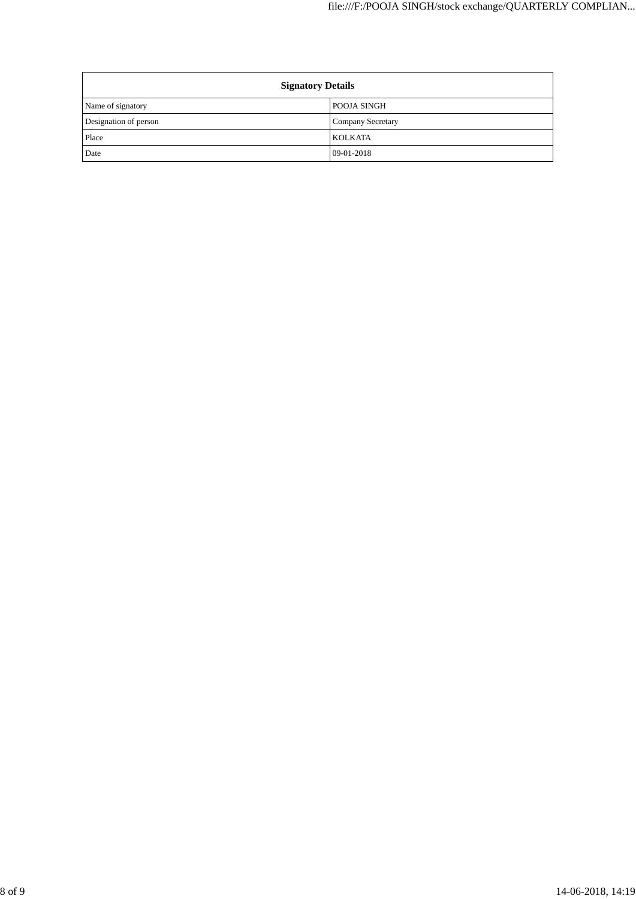| <b>Signatory Details</b> |                          |
|--------------------------|--------------------------|
| Name of signatory        | POOJA SINGH              |
| Designation of person    | <b>Company Secretary</b> |
| Place                    | KOLKATA                  |
| Date                     | 09-01-2018               |